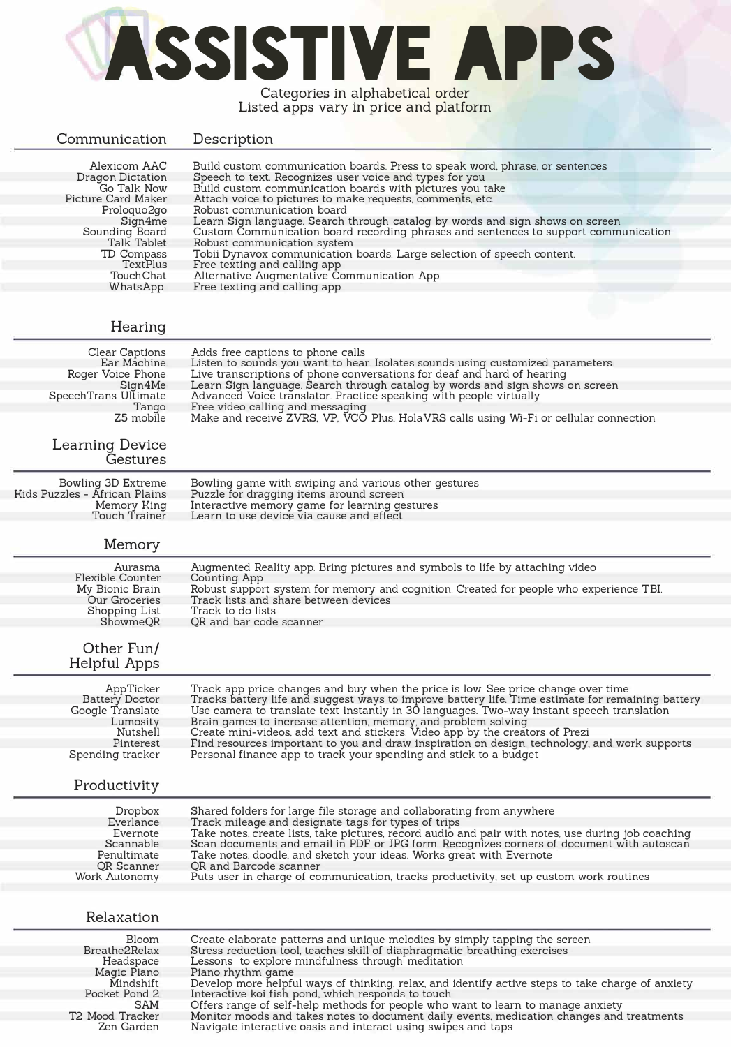## **ASSISTIVE APPS**  Categories in alphabetical order

Listed apps vary in price and platform

| Communication                                                                                                                                                                                      | Description                                                                                                                                                                                                                                                                                                                                                                                                                                                                                                                                                                                                                                                                                   |
|----------------------------------------------------------------------------------------------------------------------------------------------------------------------------------------------------|-----------------------------------------------------------------------------------------------------------------------------------------------------------------------------------------------------------------------------------------------------------------------------------------------------------------------------------------------------------------------------------------------------------------------------------------------------------------------------------------------------------------------------------------------------------------------------------------------------------------------------------------------------------------------------------------------|
| Alexicom AAC<br><b>Dragon Dictation</b><br>Go Talk Now<br>Picture Card Maker<br>Proloquo2go<br>Sign4me<br>Sounding Board<br>Talk Tablet<br>TD Compass<br>TextPlus<br><b>Touch Chat</b><br>WhatsApp | Build custom communication boards. Press to speak word, phrase, or sentences<br>Speech to text. Recognizes user voice and types for you<br>Build custom communication boards with pictures you take<br>Attach voice to pictures to make requests, comments, etc.<br>Robust communication board<br>Learn Sign language. Search through catalog by words and sign shows on screen<br>Custom Communication board recording phrases and sentences to support communication<br>Robust communication system<br>Tobii Dynavox communication boards. Large selection of speech content.<br>Free texting and calling app<br>Alternative Augmentative Communication App<br>Free texting and calling app |
| Hearing                                                                                                                                                                                            |                                                                                                                                                                                                                                                                                                                                                                                                                                                                                                                                                                                                                                                                                               |
| Clear Captions<br>Ear Machine<br>Roger Voice Phone<br>Sign4Me<br>SpeechTrans Ultimate<br>Tango<br>Z5 mobile<br><b>Learning Device</b><br>Gestures                                                  | Adds free captions to phone calls<br>Listen to sounds you want to hear. Isolates sounds using customized parameters<br>Live transcriptions of phone conversations for deaf and hard of hearing<br>Learn Sign language. Search through catalog by words and sign shows on screen<br>Advanced Voice translator. Practice speaking with people virtually<br>Free video calling and messaging<br>Make and receive ZVRS, VP, VCO Plus, HolaVRS calls using Wi-Fi or cellular connection                                                                                                                                                                                                            |
| Bowling 3D Extreme                                                                                                                                                                                 | Bowling game with swiping and various other gestures                                                                                                                                                                                                                                                                                                                                                                                                                                                                                                                                                                                                                                          |
| Kids Puzzles - African Plains<br>Memory King<br>Touch Trainer                                                                                                                                      | Puzzle for dragging items around screen<br>Interactive memory game for learning gestures<br>Learn to use device via cause and effect                                                                                                                                                                                                                                                                                                                                                                                                                                                                                                                                                          |
| Memory                                                                                                                                                                                             |                                                                                                                                                                                                                                                                                                                                                                                                                                                                                                                                                                                                                                                                                               |
| Aurasma<br><b>Flexible Counter</b><br>My Bionic Brain<br>Our Groceries<br><b>Shopping List</b><br>ShowmeQR<br>Other Fun/<br>Helpful Apps                                                           | Augmented Reality app. Bring pictures and symbols to life by attaching video<br>Counting App<br>Robust support system for memory and cognition. Created for people who experience TBI.<br>Track lists and share between devices<br>Track to do lists<br>QR and bar code scanner                                                                                                                                                                                                                                                                                                                                                                                                               |
| AppTicker<br><b>Battery Doctor</b><br>Google Translate<br>Lumosity<br>Nutshell<br>Pinterest<br>Spending tracker<br>Productivity                                                                    | Track app price changes and buy when the price is low. See price change over time<br>Tracks battery life and suggest ways to improve battery life. Time estimate for remaining battery<br>Use camera to translate text instantly in 30 languages. Two-way instant speech translation<br>Brain games to increase attention, memory, and problem solving<br>Create mini-videos, add text and stickers. Video app by the creators of Prezi<br>Find resources important to you and draw inspiration on design, technology, and work supports<br>Personal finance app to track your spending and stick to a budget                                                                                 |
| Dropbox<br>Everlance<br>Evernote<br>Scannable<br>Penultimate<br>QR Scanner<br>Work Autonomy                                                                                                        | Shared folders for large file storage and collaborating from anywhere<br>Track mileage and designate tags for types of trips<br>Take notes, create lists, take pictures, record audio and pair with notes, use during job coaching<br>Scan documents and email in PDF or JPG form. Recognizes corners of document with autoscan<br>Take notes, doodle, and sketch your ideas. Works great with Evernote<br>QR and Barcode scanner<br>Puts user in charge of communication, tracks productivity, set up custom work routines                                                                                                                                                                   |
| Relaxation<br>Bloom                                                                                                                                                                                | Create elaborate patterns and unique melodies by simply tapping the screen                                                                                                                                                                                                                                                                                                                                                                                                                                                                                                                                                                                                                    |
| Breathe2Relax<br>Headspace<br>Magic Piano<br>Mindshift<br>Pocket Pond 2<br>SAM                                                                                                                     | Stress reduction tool, teaches skill of diaphragmatic breathing exercises<br>Lessons to explore mindfulness through meditation<br>Piano rhythm game<br>Develop more helpful ways of thinking, relax, and identify active steps to take charge of anxiety<br>Interactive koi fish pond, which responds to touch<br>Offers range of self-help methods for people who want to learn to manage anxiety                                                                                                                                                                                                                                                                                            |

T2 Mood Tracker Zen Garden Monitor moods and takes notes to document daily events, medication changes and treatments Navigate interactive oasis and interact using swipes and taps